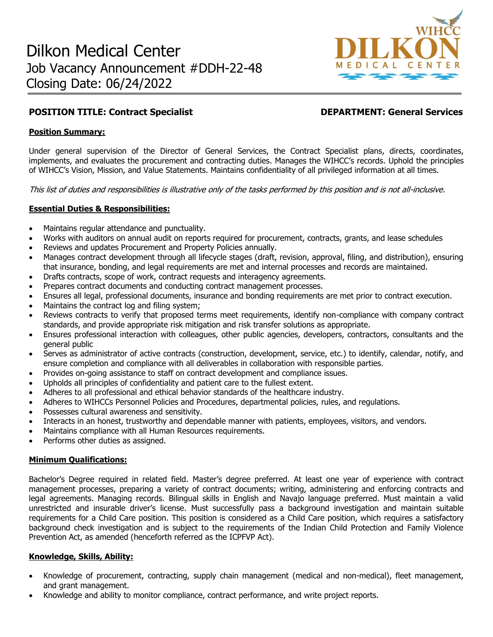

# **POSITION TITLE: Contract Specialist DEPARTMENT: General Services**

### **Position Summary:**

Under general supervision of the Director of General Services, the Contract Specialist plans, directs, coordinates, implements, and evaluates the procurement and contracting duties. Manages the WIHCC's records. Uphold the principles of WIHCC's Vision, Mission, and Value Statements. Maintains confidentiality of all privileged information at all times.

This list of duties and responsibilities is illustrative only of the tasks performed by this position and is not all-inclusive.

## **Essential Duties & Responsibilities:**

- Maintains regular attendance and punctuality.
- Works with auditors on annual audit on reports required for procurement, contracts, grants, and lease schedules
- Reviews and updates Procurement and Property Policies annually.
- Manages contract development through all lifecycle stages (draft, revision, approval, filing, and distribution), ensuring that insurance, bonding, and legal requirements are met and internal processes and records are maintained.
- Drafts contracts, scope of work, contract requests and interagency agreements.
- Prepares contract documents and conducting contract management processes.
- Ensures all legal, professional documents, insurance and bonding requirements are met prior to contract execution.
- Maintains the contract log and filing system;
- Reviews contracts to verify that proposed terms meet requirements, identify non-compliance with company contract standards, and provide appropriate risk mitigation and risk transfer solutions as appropriate.
- Ensures professional interaction with colleagues, other public agencies, developers, contractors, consultants and the general public
- Serves as administrator of active contracts (construction, development, service, etc.) to identify, calendar, notify, and ensure completion and compliance with all deliverables in collaboration with responsible parties.
- Provides on-going assistance to staff on contract development and compliance issues.
- Upholds all principles of confidentiality and patient care to the fullest extent.
- Adheres to all professional and ethical behavior standards of the healthcare industry.
- Adheres to WIHCCs Personnel Policies and Procedures, departmental policies, rules, and regulations.
- Possesses cultural awareness and sensitivity.
- Interacts in an honest, trustworthy and dependable manner with patients, employees, visitors, and vendors.
- Maintains compliance with all Human Resources requirements.
- Performs other duties as assigned.

### **Minimum Qualifications:**

Bachelor's Degree required in related field. Master's degree preferred. At least one year of experience with contract management processes, preparing a variety of contract documents; writing, administering and enforcing contracts and legal agreements. Managing records. Bilingual skills in English and Navajo language preferred. Must maintain a valid unrestricted and insurable driver's license. Must successfully pass a background investigation and maintain suitable requirements for a Child Care position. This position is considered as a Child Care position, which requires a satisfactory background check investigation and is subject to the requirements of the Indian Child Protection and Family Violence Prevention Act, as amended (henceforth referred as the ICPFVP Act).

### **Knowledge, Skills, Ability:**

- Knowledge of procurement, contracting, supply chain management (medical and non-medical), fleet management, and grant management.
- Knowledge and ability to monitor compliance, contract performance, and write project reports.